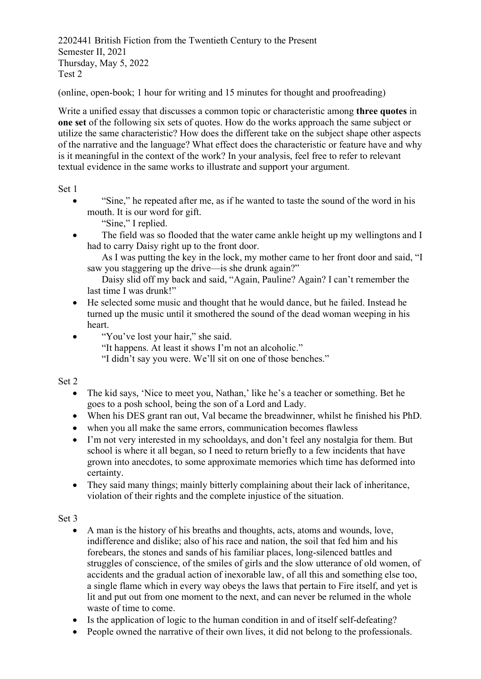2202441 British Fiction from the Twentieth Century to the Present Semester II, 2021 Thursday, May 5, 2022 Test 2

(online, open-book; 1 hour for writing and 15 minutes for thought and proofreading)

Write a unified essay that discusses a common topic or characteristic among **three quotes** in **one set** of the following six sets of quotes. How do the works approach the same subject or utilize the same characteristic? How does the different take on the subject shape other aspects of the narrative and the language? What effect does the characteristic or feature have and why is it meaningful in the context of the work? In your analysis, feel free to refer to relevant textual evidence in the same works to illustrate and support your argument.

Set 1

- "Sine," he repeated after me, as if he wanted to taste the sound of the word in his mouth. It is our word for gift.
	- "Sine," I replied.
- The field was so flooded that the water came ankle height up my wellingtons and I had to carry Daisy right up to the front door.

As I was putting the key in the lock, my mother came to her front door and said, "I saw you staggering up the drive—is she drunk again?"

Daisy slid off my back and said, "Again, Pauline? Again? I can't remember the last time I was drunk!"

- He selected some music and thought that he would dance, but he failed. Instead he turned up the music until it smothered the sound of the dead woman weeping in his heart.
- "You've lost your hair," she said.
	- "It happens. At least it shows I'm not an alcoholic."
	- "I didn't say you were. We'll sit on one of those benches."

Set 2

- The kid says, 'Nice to meet you, Nathan,' like he's a teacher or something. Bet he goes to a posh school, being the son of a Lord and Lady.
- When his DES grant ran out, Val became the breadwinner, whilst he finished his PhD.
- when you all make the same errors, communication becomes flawless
- I'm not very interested in my schooldays, and don't feel any nostalgia for them. But school is where it all began, so I need to return briefly to a few incidents that have grown into anecdotes, to some approximate memories which time has deformed into certainty.
- They said many things; mainly bitterly complaining about their lack of inheritance, violation of their rights and the complete injustice of the situation.

Set 3

- A man is the history of his breaths and thoughts, acts, atoms and wounds, love, indifference and dislike; also of his race and nation, the soil that fed him and his forebears, the stones and sands of his familiar places, long-silenced battles and struggles of conscience, of the smiles of girls and the slow utterance of old women, of accidents and the gradual action of inexorable law, of all this and something else too, a single flame which in every way obeys the laws that pertain to Fire itself, and yet is lit and put out from one moment to the next, and can never be relumed in the whole waste of time to come.
- Is the application of logic to the human condition in and of itself self-defeating?
- People owned the narrative of their own lives, it did not belong to the professionals.